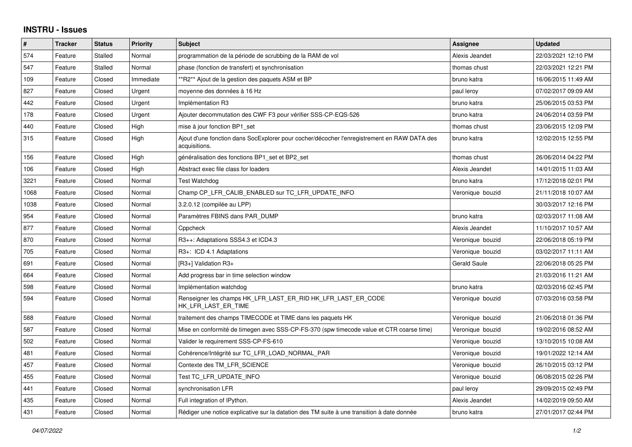## **INSTRU - Issues**

| #    | <b>Tracker</b> | <b>Status</b> | Priority  | <b>Subject</b>                                                                                               | Assignee            | <b>Updated</b>      |
|------|----------------|---------------|-----------|--------------------------------------------------------------------------------------------------------------|---------------------|---------------------|
| 574  | Feature        | Stalled       | Normal    | programmation de la période de scrubbing de la RAM de vol                                                    | Alexis Jeandet      | 22/03/2021 12:10 PM |
| 547  | Feature        | Stalled       | Normal    | phase (fonction de transfert) et synchronisation                                                             | thomas chust        | 22/03/2021 12:21 PM |
| 109  | Feature        | Closed        | Immediate | *R2** Ajout de la gestion des paquets ASM et BP                                                              | bruno katra         | 16/06/2015 11:49 AM |
| 827  | Feature        | Closed        | Urgent    | moyenne des données à 16 Hz                                                                                  | paul leroy          | 07/02/2017 09:09 AM |
| 442  | Feature        | Closed        | Urgent    | Implémentation R3                                                                                            | bruno katra         | 25/06/2015 03:53 PM |
| 178  | Feature        | Closed        | Urgent    | Ajouter decommutation des CWF F3 pour vérifier SSS-CP-EQS-526                                                | bruno katra         | 24/06/2014 03:59 PM |
| 440  | Feature        | Closed        | High      | mise à jour fonction BP1 set                                                                                 | thomas chust        | 23/06/2015 12:09 PM |
| 315  | Feature        | Closed        | High      | Ajout d'une fonction dans SocExplorer pour cocher/décocher l'enregistrement en RAW DATA des<br>acquisitions. | bruno katra         | 12/02/2015 12:55 PM |
| 156  | Feature        | Closed        | High      | généralisation des fonctions BP1_set et BP2_set                                                              | thomas chust        | 26/06/2014 04:22 PM |
| 106  | Feature        | Closed        | High      | Abstract exec file class for loaders                                                                         | Alexis Jeandet      | 14/01/2015 11:03 AM |
| 3221 | Feature        | Closed        | Normal    | <b>Test Watchdog</b>                                                                                         | bruno katra         | 17/12/2018 02:01 PM |
| 1068 | Feature        | Closed        | Normal    | Champ CP LFR CALIB ENABLED sur TC LFR UPDATE INFO                                                            | Veronique bouzid    | 21/11/2018 10:07 AM |
| 1038 | Feature        | Closed        | Normal    | 3.2.0.12 (compilée au LPP)                                                                                   |                     | 30/03/2017 12:16 PM |
| 954  | Feature        | Closed        | Normal    | Paramètres FBINS dans PAR DUMP                                                                               | bruno katra         | 02/03/2017 11:08 AM |
| 877  | Feature        | Closed        | Normal    | Cppcheck                                                                                                     | Alexis Jeandet      | 11/10/2017 10:57 AM |
| 870  | Feature        | Closed        | Normal    | R3++: Adaptations SSS4.3 et ICD4.3                                                                           | Veronique bouzid    | 22/06/2018 05:19 PM |
| 705  | Feature        | Closed        | Normal    | R3+: ICD 4.1 Adaptations                                                                                     | Veronique bouzid    | 03/02/2017 11:11 AM |
| 691  | Feature        | Closed        | Normal    | [R3+] Validation R3+                                                                                         | <b>Gerald Saule</b> | 22/06/2018 05:25 PM |
| 664  | Feature        | Closed        | Normal    | Add progress bar in time selection window                                                                    |                     | 21/03/2016 11:21 AM |
| 598  | Feature        | Closed        | Normal    | Implémentation watchdog                                                                                      | bruno katra         | 02/03/2016 02:45 PM |
| 594  | Feature        | Closed        | Normal    | Renseigner les champs HK_LFR_LAST_ER_RID HK_LFR_LAST_ER_CODE<br>HK_LFR_LAST_ER_TIME                          | Veronique bouzid    | 07/03/2016 03:58 PM |
| 588  | Feature        | Closed        | Normal    | traitement des champs TIMECODE et TIME dans les paquets HK                                                   | Veronique bouzid    | 21/06/2018 01:36 PM |
| 587  | Feature        | Closed        | Normal    | Mise en conformité de timegen avec SSS-CP-FS-370 (spw timecode value et CTR coarse time)                     | Veronique bouzid    | 19/02/2016 08:52 AM |
| 502  | Feature        | Closed        | Normal    | Valider le requirement SSS-CP-FS-610                                                                         | Veronique bouzid    | 13/10/2015 10:08 AM |
| 481  | Feature        | Closed        | Normal    | Cohérence/Intégrité sur TC LFR LOAD NORMAL PAR                                                               | Veronique bouzid    | 19/01/2022 12:14 AM |
| 457  | Feature        | Closed        | Normal    | Contexte des TM LFR SCIENCE                                                                                  | Veronique bouzid    | 26/10/2015 03:12 PM |
| 455  | Feature        | Closed        | Normal    | Test TC LFR UPDATE INFO                                                                                      | Veronique bouzid    | 06/08/2015 02:26 PM |
| 441  | Feature        | Closed        | Normal    | synchronisation LFR                                                                                          | paul leroy          | 29/09/2015 02:49 PM |
| 435  | Feature        | Closed        | Normal    | Full integration of IPython.                                                                                 | Alexis Jeandet      | 14/02/2019 09:50 AM |
| 431  | Feature        | Closed        | Normal    | Rédiger une notice explicative sur la datation des TM suite à une transition à date donnée                   | bruno katra         | 27/01/2017 02:44 PM |